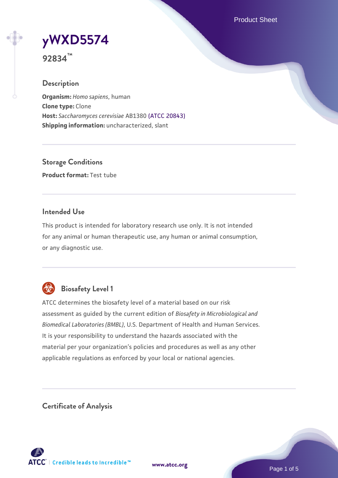Product Sheet



**92834™**

## **Description**

**Organism:** *Homo sapiens*, human **Clone type:** Clone **Host:** *Saccharomyces cerevisiae* AB1380 [\(ATCC 20843\)](https://www.atcc.org/products/20843) **Shipping information:** uncharacterized, slant

**Storage Conditions Product format:** Test tube

## **Intended Use**

This product is intended for laboratory research use only. It is not intended for any animal or human therapeutic use, any human or animal consumption, or any diagnostic use.



## **Biosafety Level 1**

ATCC determines the biosafety level of a material based on our risk assessment as guided by the current edition of *Biosafety in Microbiological and Biomedical Laboratories (BMBL)*, U.S. Department of Health and Human Services. It is your responsibility to understand the hazards associated with the material per your organization's policies and procedures as well as any other applicable regulations as enforced by your local or national agencies.

**Certificate of Analysis**

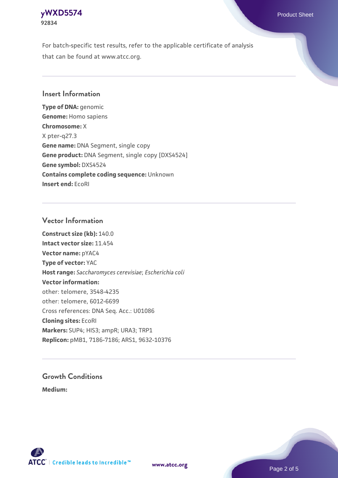## **[yWXD5574](https://www.atcc.org/products/92834)** Product Sheet **92834**

For batch-specific test results, refer to the applicable certificate of analysis that can be found at www.atcc.org.

## **Insert Information**

**Type of DNA:** genomic **Genome:** Homo sapiens **Chromosome:** X X pter-q27.3 **Gene name:** DNA Segment, single copy **Gene product:** DNA Segment, single copy [DXS4524] **Gene symbol:** DXS4524 **Contains complete coding sequence:** Unknown **Insert end:** EcoRI

## **Vector Information**

**Construct size (kb):** 140.0 **Intact vector size:** 11.454 **Vector name:** pYAC4 **Type of vector:** YAC **Host range:** *Saccharomyces cerevisiae*; *Escherichia coli* **Vector information:** other: telomere, 3548-4235 other: telomere, 6012-6699 Cross references: DNA Seq. Acc.: U01086 **Cloning sites:** EcoRI **Markers:** SUP4; HIS3; ampR; URA3; TRP1 **Replicon:** pMB1, 7186-7186; ARS1, 9632-10376

# **Growth Conditions**

**Medium:** 



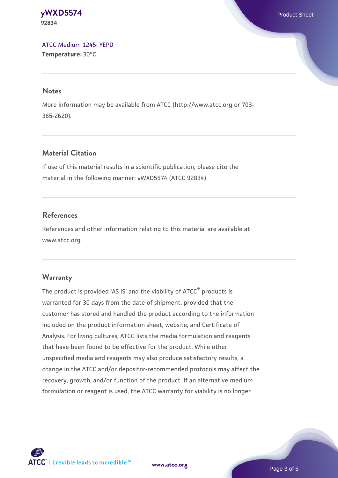#### **[yWXD5574](https://www.atcc.org/products/92834)** Product Sheet **92834**

[ATCC Medium 1245: YEPD](https://www.atcc.org/-/media/product-assets/documents/microbial-media-formulations/1/2/4/5/atcc-medium-1245.pdf?rev=705ca55d1b6f490a808a965d5c072196) **Temperature:** 30°C

#### **Notes**

More information may be available from ATCC (http://www.atcc.org or 703- 365-2620).

## **Material Citation**

If use of this material results in a scientific publication, please cite the material in the following manner: yWXD5574 (ATCC 92834)

## **References**

References and other information relating to this material are available at www.atcc.org.

## **Warranty**

The product is provided 'AS IS' and the viability of ATCC® products is warranted for 30 days from the date of shipment, provided that the customer has stored and handled the product according to the information included on the product information sheet, website, and Certificate of Analysis. For living cultures, ATCC lists the media formulation and reagents that have been found to be effective for the product. While other unspecified media and reagents may also produce satisfactory results, a change in the ATCC and/or depositor-recommended protocols may affect the recovery, growth, and/or function of the product. If an alternative medium formulation or reagent is used, the ATCC warranty for viability is no longer



**[www.atcc.org](http://www.atcc.org)**

Page 3 of 5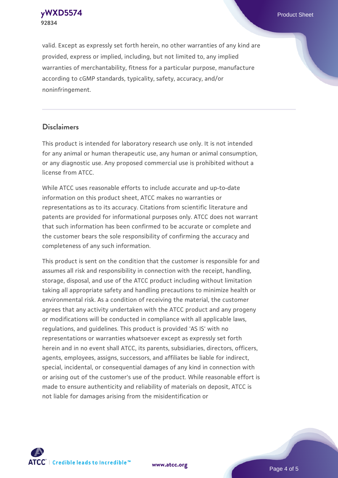**[yWXD5574](https://www.atcc.org/products/92834)** Product Sheet **92834**

valid. Except as expressly set forth herein, no other warranties of any kind are provided, express or implied, including, but not limited to, any implied warranties of merchantability, fitness for a particular purpose, manufacture according to cGMP standards, typicality, safety, accuracy, and/or noninfringement.

#### **Disclaimers**

This product is intended for laboratory research use only. It is not intended for any animal or human therapeutic use, any human or animal consumption, or any diagnostic use. Any proposed commercial use is prohibited without a license from ATCC.

While ATCC uses reasonable efforts to include accurate and up-to-date information on this product sheet, ATCC makes no warranties or representations as to its accuracy. Citations from scientific literature and patents are provided for informational purposes only. ATCC does not warrant that such information has been confirmed to be accurate or complete and the customer bears the sole responsibility of confirming the accuracy and completeness of any such information.

This product is sent on the condition that the customer is responsible for and assumes all risk and responsibility in connection with the receipt, handling, storage, disposal, and use of the ATCC product including without limitation taking all appropriate safety and handling precautions to minimize health or environmental risk. As a condition of receiving the material, the customer agrees that any activity undertaken with the ATCC product and any progeny or modifications will be conducted in compliance with all applicable laws, regulations, and guidelines. This product is provided 'AS IS' with no representations or warranties whatsoever except as expressly set forth herein and in no event shall ATCC, its parents, subsidiaries, directors, officers, agents, employees, assigns, successors, and affiliates be liable for indirect, special, incidental, or consequential damages of any kind in connection with or arising out of the customer's use of the product. While reasonable effort is made to ensure authenticity and reliability of materials on deposit, ATCC is not liable for damages arising from the misidentification or



**[www.atcc.org](http://www.atcc.org)**

Page 4 of 5